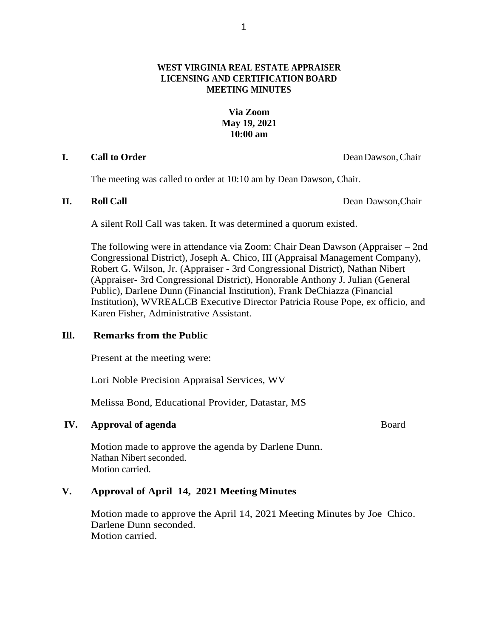# **WEST VIRGINIA REAL ESTATE APPRAISER LICENSING AND CERTIFICATION BOARD MEETING MINUTES**

# **Via Zoom May 19, 2021 10:00 am**

### **I. Call to Order** DeanDawson,Chair

The meeting was called to order at 10:10 am by Dean Dawson, Chair.

**II. Roll Call** Dean Dawson,Chair

A silent Roll Call was taken. It was determined a quorum existed.

The following were in attendance via Zoom: Chair Dean Dawson (Appraiser – 2nd Congressional District), Joseph A. Chico, III (Appraisal Management Company), Robert G. Wilson, Jr. (Appraiser - 3rd Congressional District), Nathan Nibert (Appraiser- 3rd Congressional District), Honorable Anthony J. Julian (General Public), Darlene Dunn (Financial Institution), Frank DeChiazza (Financial Institution), WVREALCB Executive Director Patricia Rouse Pope, ex officio, and Karen Fisher, Administrative Assistant.

## **Ill. Remarks from the Public**

Present at the meeting were:

Lori Noble Precision Appraisal Services, WV

Melissa Bond, Educational Provider, Datastar, MS

# **IV. Approval of agenda** Board

Motion made to approve the agenda by Darlene Dunn. Nathan Nibert seconded. Motion carried.

# **V. Approval of April 14, 2021 Meeting Minutes**

Motion made to approve the April 14, 2021 Meeting Minutes by Joe Chico. Darlene Dunn seconded. Motion carried.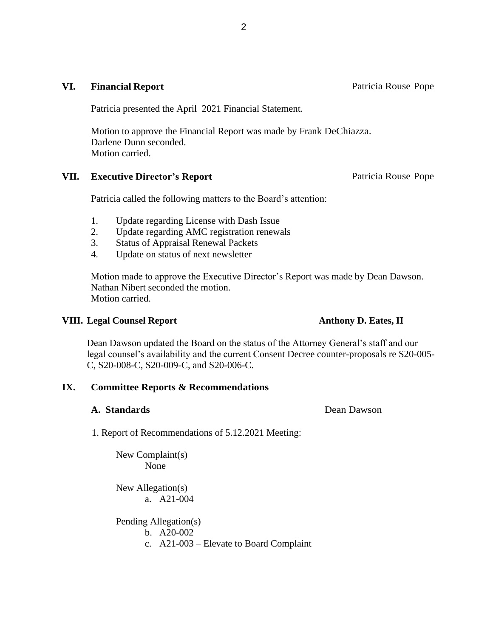### **VI.** Financial Report **Patricia** Rouse Pope

Patricia presented the April 2021 Financial Statement.

Motion to approve the Financial Report was made by Frank DeChiazza. Darlene Dunn seconded. Motion carried.

#### **VII. Executive Director's Report Patricia Rouse Pope**

Patricia called the following matters to the Board's attention:

- 1. Update regarding License with Dash Issue
- 2. Update regarding AMC registration renewals
- 3. Status of Appraisal Renewal Packets
- 4. Update on status of next newsletter

Motion made to approve the Executive Director's Report was made by Dean Dawson. Nathan Nibert seconded the motion. Motion carried.

### **VIII. Legal Counsel Report Anthony D. Eates, II**

Dean Dawson updated the Board on the status of the Attorney General's staff and our legal counsel's availability and the current Consent Decree counter-proposals re S20-005- C, S20-008-C, S20-009-C, and S20-006-C.

## **IX. Committee Reports & Recommendations**

#### **A. Standards** Dean Dawson

1. Report of Recommendations of 5.12.2021 Meeting:

New Complaint(s) None

New Allegation(s) a. A21-004

Pending Allegation(s)

- b. A20-002
- c. A21-003 Elevate to Board Complaint

2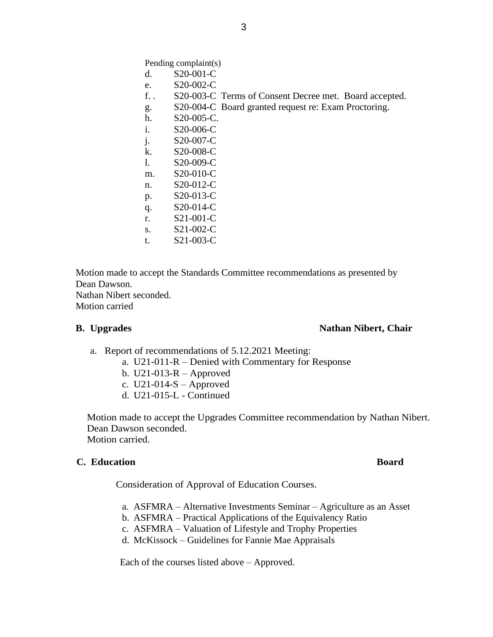Pending complaint(s)

- d. S20-001-C
- e. S20-002-C
- f. . S20-003-C Terms of Consent Decree met. Board accepted.
- g. S20-004-C Board granted request re: Exam Proctoring.
- h. S20-005-C.
- i. S20-006-C
- j. S20-007-C
- k. S20-008-C
- l. S20-009-C
- m. S20-010-C
- n. S20-012-C
- p. S20-013-C
- q. S20-014-C
- r. S21-001-C
- s. S21-002-C
- t. S21-003-C

Motion made to accept the Standards Committee recommendations as presented by Dean Dawson. Nathan Nibert seconded. Motion carried

## **B. Upgrades** Nathan Nibert, Chair

- a. Report of recommendations of 5.12.2021 Meeting:
	- a. U21-011-R Denied with Commentary for Response
	- b. U21-013-R Approved
	- c.  $U21-014-S$  Approved
	- d. U21-015-L Continued

Motion made to accept the Upgrades Committee recommendation by Nathan Nibert. Dean Dawson seconded. Motion carried.

#### **C. Education Board**

Consideration of Approval of Education Courses.

- a. ASFMRA Alternative Investments Seminar Agriculture as an Asset
- b. ASFMRA Practical Applications of the Equivalency Ratio
- c. ASFMRA Valuation of Lifestyle and Trophy Properties
- d. McKissock Guidelines for Fannie Mae Appraisals

Each of the courses listed above – Approved.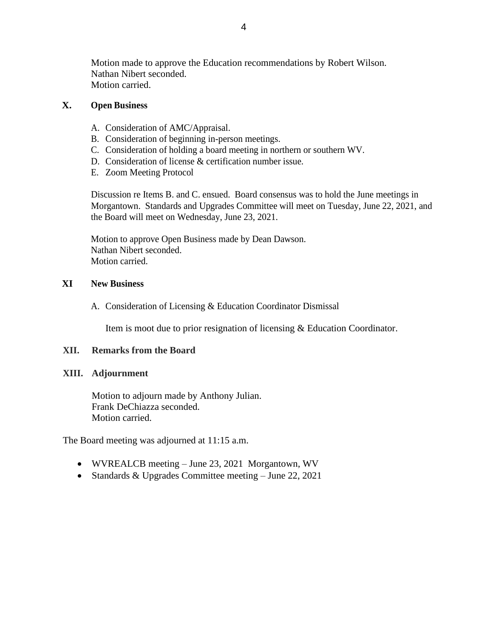Motion made to approve the Education recommendations by Robert Wilson. Nathan Nibert seconded. Motion carried.

## **X. Open Business**

- A. Consideration of AMC/Appraisal.
- B. Consideration of beginning in-person meetings.
- C. Consideration of holding a board meeting in northern or southern WV.
- D. Consideration of license & certification number issue.
- E. Zoom Meeting Protocol

Discussion re Items B. and C. ensued. Board consensus was to hold the June meetings in Morgantown. Standards and Upgrades Committee will meet on Tuesday, June 22, 2021, and the Board will meet on Wednesday, June 23, 2021.

Motion to approve Open Business made by Dean Dawson. Nathan Nibert seconded. Motion carried.

## **XI New Business**

A. Consideration of Licensing & Education Coordinator Dismissal

Item is moot due to prior resignation of licensing & Education Coordinator.

## **XII. Remarks from the Board**

## **XIII. Adjournment**

Motion to adjourn made by Anthony Julian. Frank DeChiazza seconded. Motion carried.

The Board meeting was adjourned at 11:15 a.m.

- WVREALCB meeting June 23, 2021 Morgantown, WV
- Standards & Upgrades Committee meeting June 22, 2021